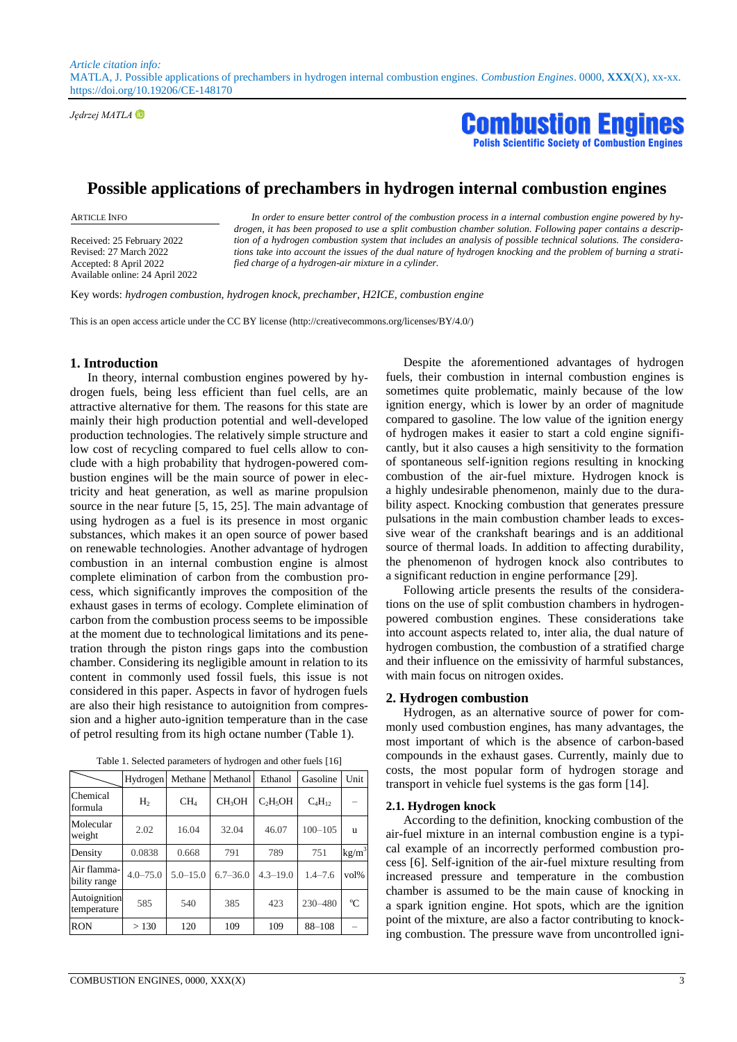*Article citation info:*  MATLA, J. Possible applications of prechambers in hydrogen internal combustion engines. *Combustion Engines*. 0000, **XXX**(X), xx-xx. https://doi.org/10.19206/CE-148170

*Jędrzej MATLA*

**Combustion Eng Scientific Society of Combustion Engines** 

# **Possible applications of prechambers in hydrogen internal combustion engines**

Received: 25 February 2022 Revised: 27 March 2022 Accepted: 8 April 2022 Available online: 24 April 2022

ARTICLE INFO *In order to ensure better control of the combustion process in a internal combustion engine powered by hydrogen, it has been proposed to use a split combustion chamber solution. Following paper contains a description of a hydrogen combustion system that includes an analysis of possible technical solutions. The considerations take into account the issues of the dual nature of hydrogen knocking and the problem of burning a stratified charge of a hydrogen-air mixture in a cylinder.*

Key words: *hydrogen combustion, hydrogen knock, prechamber, H2ICE, combustion engine*

This is an open access article under the CC BY license (http://creativecommons.org/licenses/BY/4.0/)

#### **1. Introduction**

In theory, internal combustion engines powered by hydrogen fuels, being less efficient than fuel cells, are an attractive alternative for them. The reasons for this state are mainly their high production potential and well-developed production technologies. The relatively simple structure and low cost of recycling compared to fuel cells allow to conclude with a high probability that hydrogen-powered combustion engines will be the main source of power in electricity and heat generation, as well as marine propulsion source in the near future [5, 15, 25]. The main advantage of using hydrogen as a fuel is its presence in most organic substances, which makes it an open source of power based on renewable technologies. Another advantage of hydrogen combustion in an internal combustion engine is almost complete elimination of carbon from the combustion process, which significantly improves the composition of the exhaust gases in terms of ecology. Complete elimination of carbon from the combustion process seems to be impossible at the moment due to technological limitations and its penetration through the piston rings gaps into the combustion chamber. Considering its negligible amount in relation to its content in commonly used fossil fuels, this issue is not considered in this paper. Aspects in favor of hydrogen fuels are also their high resistance to autoignition from compression and a higher auto-ignition temperature than in the case of petrol resulting from its high octane number (Table 1).

|                             | Hydrogen       | Methane         | Methanol           | Ethanol      | Gasoline    | Unit              |
|-----------------------------|----------------|-----------------|--------------------|--------------|-------------|-------------------|
| Chemical<br>formula         | H <sub>2</sub> | CH <sub>4</sub> | CH <sub>3</sub> OH | $C_2H_5OH$   | $C_4H_{12}$ |                   |
| Molecular<br>weight         | 2.02           | 16.04           | 32.04              | 46.07        | $100 - 105$ | u                 |
| Density                     | 0.0838         | 0.668           | 791                | 789          | 751         | kg/m <sup>3</sup> |
| Air flamma-<br>bility range | $4.0 - 75.0$   | $5.0 - 15.0$    | $6.7 - 36.0$       | $4.3 - 19.0$ | $1.4 - 7.6$ | $vol\%$           |
| Autoignition<br>temperature | 585            | 540             | 385                | 423          | 230-480     | $^{\circ}C$       |
| <b>RON</b>                  | >130           | 120             | 109                | 109          | 88-108      |                   |

Table 1. Selected parameters of hydrogen and other fuels [16]

Despite the aforementioned advantages of hydrogen fuels, their combustion in internal combustion engines is sometimes quite problematic, mainly because of the low ignition energy, which is lower by an order of magnitude compared to gasoline. The low value of the ignition energy of hydrogen makes it easier to start a cold engine significantly, but it also causes a high sensitivity to the formation of spontaneous self-ignition regions resulting in knocking combustion of the air-fuel mixture. Hydrogen knock is a highly undesirable phenomenon, mainly due to the durability aspect. Knocking combustion that generates pressure pulsations in the main combustion chamber leads to excessive wear of the crankshaft bearings and is an additional source of thermal loads. In addition to affecting durability, the phenomenon of hydrogen knock also contributes to a significant reduction in engine performance [29].

Following article presents the results of the considerations on the use of split combustion chambers in hydrogenpowered combustion engines. These considerations take into account aspects related to, inter alia, the dual nature of hydrogen combustion, the combustion of a stratified charge and their influence on the emissivity of harmful substances, with main focus on nitrogen oxides.

## **2. Hydrogen combustion**

Hydrogen, as an alternative source of power for commonly used combustion engines, has many advantages, the most important of which is the absence of carbon-based compounds in the exhaust gases. Currently, mainly due to costs, the most popular form of hydrogen storage and transport in vehicle fuel systems is the gas form [14].

#### **2.1. Hydrogen knock**

According to the definition, knocking combustion of the air-fuel mixture in an internal combustion engine is a typical example of an incorrectly performed combustion process [6]. Self-ignition of the air-fuel mixture resulting from increased pressure and temperature in the combustion chamber is assumed to be the main cause of knocking in a spark ignition engine. Hot spots, which are the ignition point of the mixture, are also a factor contributing to knocking combustion. The pressure wave from uncontrolled igni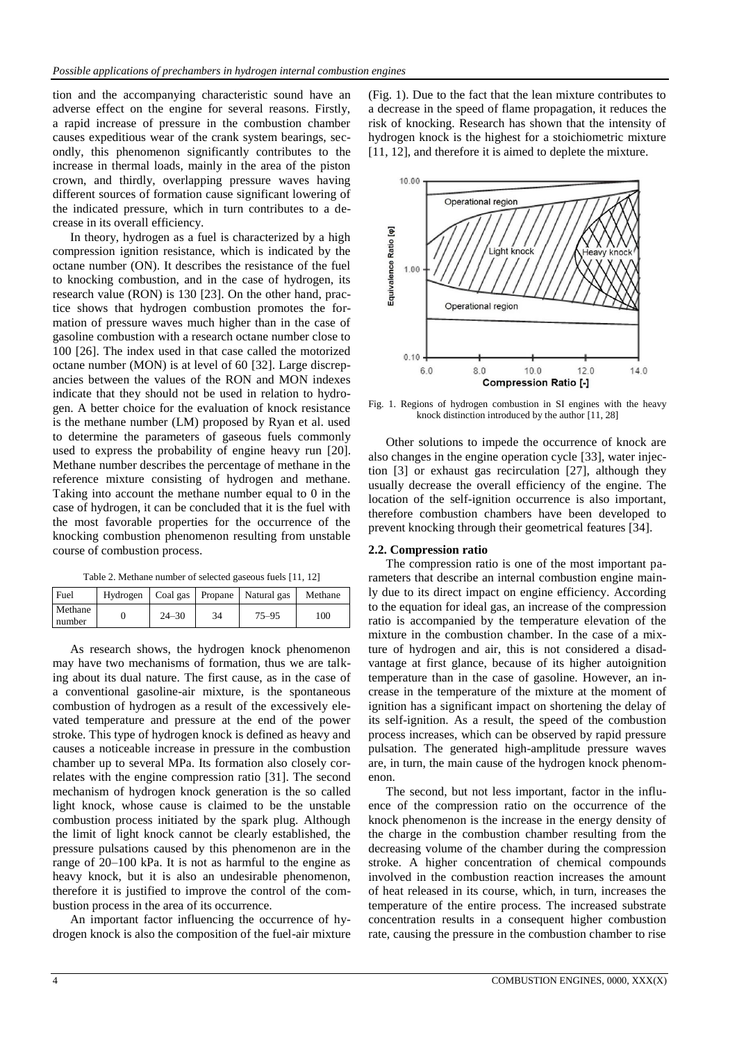tion and the accompanying characteristic sound have an adverse effect on the engine for several reasons. Firstly, a rapid increase of pressure in the combustion chamber causes expeditious wear of the crank system bearings, secondly, this phenomenon significantly contributes to the increase in thermal loads, mainly in the area of the piston crown, and thirdly, overlapping pressure waves having different sources of formation cause significant lowering of the indicated pressure, which in turn contributes to a decrease in its overall efficiency.

In theory, hydrogen as a fuel is characterized by a high compression ignition resistance, which is indicated by the octane number (ON). It describes the resistance of the fuel to knocking combustion, and in the case of hydrogen, its research value (RON) is 130 [23]. On the other hand, practice shows that hydrogen combustion promotes the formation of pressure waves much higher than in the case of gasoline combustion with a research octane number close to 100 [26]. The index used in that case called the motorized octane number (MON) is at level of 60 [32]. Large discrepancies between the values of the RON and MON indexes indicate that they should not be used in relation to hydrogen. A better choice for the evaluation of knock resistance is the methane number (LM) proposed by Ryan et al. used to determine the parameters of gaseous fuels commonly used to express the probability of engine heavy run [20]. Methane number describes the percentage of methane in the reference mixture consisting of hydrogen and methane. Taking into account the methane number equal to 0 in the case of hydrogen, it can be concluded that it is the fuel with the most favorable properties for the occurrence of the knocking combustion phenomenon resulting from unstable course of combustion process.

Table 2. Methane number of selected gaseous fuels [11, 12]

| Fuel              |           |    | Hydrogen   Coal gas   Propane   Natural gas | Methane |
|-------------------|-----------|----|---------------------------------------------|---------|
| Methane<br>number | $24 - 30$ | 34 | $75 - 95$                                   | 100     |

As research shows, the hydrogen knock phenomenon may have two mechanisms of formation, thus we are talking about its dual nature. The first cause, as in the case of a conventional gasoline-air mixture, is the spontaneous combustion of hydrogen as a result of the excessively elevated temperature and pressure at the end of the power stroke. This type of hydrogen knock is defined as heavy and causes a noticeable increase in pressure in the combustion chamber up to several MPa. Its formation also closely correlates with the engine compression ratio [31]. The second mechanism of hydrogen knock generation is the so called light knock, whose cause is claimed to be the unstable combustion process initiated by the spark plug. Although the limit of light knock cannot be clearly established, the pressure pulsations caused by this phenomenon are in the range of 20–100 kPa. It is not as harmful to the engine as heavy knock, but it is also an undesirable phenomenon, therefore it is justified to improve the control of the combustion process in the area of its occurrence.

An important factor influencing the occurrence of hydrogen knock is also the composition of the fuel-air mixture (Fig. 1). Due to the fact that the lean mixture contributes to a decrease in the speed of flame propagation, it reduces the risk of knocking. Research has shown that the intensity of hydrogen knock is the highest for a stoichiometric mixture [11, 12], and therefore it is aimed to deplete the mixture.



Fig. 1. Regions of hydrogen combustion in SI engines with the heavy knock distinction introduced by the author [11, 28]

Other solutions to impede the occurrence of knock are also changes in the engine operation cycle [33], water injection [3] or exhaust gas recirculation [27], although they usually decrease the overall efficiency of the engine. The location of the self-ignition occurrence is also important, therefore combustion chambers have been developed to prevent knocking through their geometrical features [34].

#### **2.2. Compression ratio**

The compression ratio is one of the most important parameters that describe an internal combustion engine mainly due to its direct impact on engine efficiency. According to the equation for ideal gas, an increase of the compression ratio is accompanied by the temperature elevation of the mixture in the combustion chamber. In the case of a mixture of hydrogen and air, this is not considered a disadvantage at first glance, because of its higher autoignition temperature than in the case of gasoline. However, an increase in the temperature of the mixture at the moment of ignition has a significant impact on shortening the delay of its self-ignition. As a result, the speed of the combustion process increases, which can be observed by rapid pressure pulsation. The generated high-amplitude pressure waves are, in turn, the main cause of the hydrogen knock phenomenon.

The second, but not less important, factor in the influence of the compression ratio on the occurrence of the knock phenomenon is the increase in the energy density of the charge in the combustion chamber resulting from the decreasing volume of the chamber during the compression stroke. A higher concentration of chemical compounds involved in the combustion reaction increases the amount of heat released in its course, which, in turn, increases the temperature of the entire process. The increased substrate concentration results in a consequent higher combustion rate, causing the pressure in the combustion chamber to rise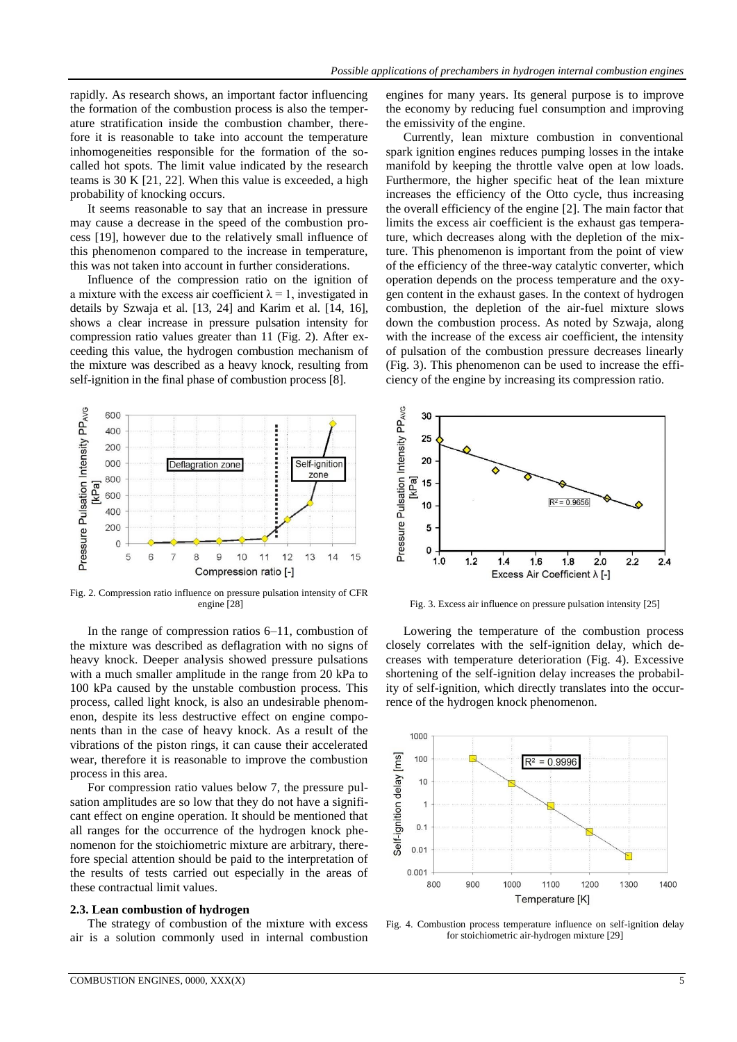rapidly. As research shows, an important factor influencing the formation of the combustion process is also the temperature stratification inside the combustion chamber, therefore it is reasonable to take into account the temperature inhomogeneities responsible for the formation of the socalled hot spots. The limit value indicated by the research teams is 30 K [21, 22]. When this value is exceeded, a high probability of knocking occurs.

It seems reasonable to say that an increase in pressure may cause a decrease in the speed of the combustion process [19], however due to the relatively small influence of this phenomenon compared to the increase in temperature, this was not taken into account in further considerations.

Influence of the compression ratio on the ignition of a mixture with the excess air coefficient  $\lambda = 1$ , investigated in details by Szwaja et al. [13, 24] and Karim et al. [14, 16], shows a clear increase in pressure pulsation intensity for compression ratio values greater than 11 (Fig. 2). After exceeding this value, the hydrogen combustion mechanism of the mixture was described as a heavy knock, resulting from self-ignition in the final phase of combustion process [8].



Fig. 2. Compression ratio influence on pressure pulsation intensity of CFR engine [28]

In the range of compression ratios 6–11, combustion of the mixture was described as deflagration with no signs of heavy knock. Deeper analysis showed pressure pulsations with a much smaller amplitude in the range from 20 kPa to 100 kPa caused by the unstable combustion process. This process, called light knock, is also an undesirable phenomenon, despite its less destructive effect on engine components than in the case of heavy knock. As a result of the vibrations of the piston rings, it can cause their accelerated wear, therefore it is reasonable to improve the combustion process in this area.

For compression ratio values below 7, the pressure pulsation amplitudes are so low that they do not have a significant effect on engine operation. It should be mentioned that all ranges for the occurrence of the hydrogen knock phenomenon for the stoichiometric mixture are arbitrary, therefore special attention should be paid to the interpretation of the results of tests carried out especially in the areas of these contractual limit values.

## **2.3. Lean combustion of hydrogen**

The strategy of combustion of the mixture with excess air is a solution commonly used in internal combustion engines for many years. Its general purpose is to improve the economy by reducing fuel consumption and improving the emissivity of the engine.

Currently, lean mixture combustion in conventional spark ignition engines reduces pumping losses in the intake manifold by keeping the throttle valve open at low loads. Furthermore, the higher specific heat of the lean mixture increases the efficiency of the Otto cycle, thus increasing the overall efficiency of the engine [2]. The main factor that limits the excess air coefficient is the exhaust gas temperature, which decreases along with the depletion of the mixture. This phenomenon is important from the point of view of the efficiency of the three-way catalytic converter, which operation depends on the process temperature and the oxygen content in the exhaust gases. In the context of hydrogen combustion, the depletion of the air-fuel mixture slows down the combustion process. As noted by Szwaja, along with the increase of the excess air coefficient, the intensity of pulsation of the combustion pressure decreases linearly (Fig. 3). This phenomenon can be used to increase the efficiency of the engine by increasing its compression ratio.



Fig. 3. Excess air influence on pressure pulsation intensity [25]

Lowering the temperature of the combustion process closely correlates with the self-ignition delay, which decreases with temperature deterioration (Fig. 4). Excessive shortening of the self-ignition delay increases the probability of self-ignition, which directly translates into the occurrence of the hydrogen knock phenomenon.



Fig. 4. Combustion process temperature influence on self-ignition delay for stoichiometric air-hydrogen mixture [29]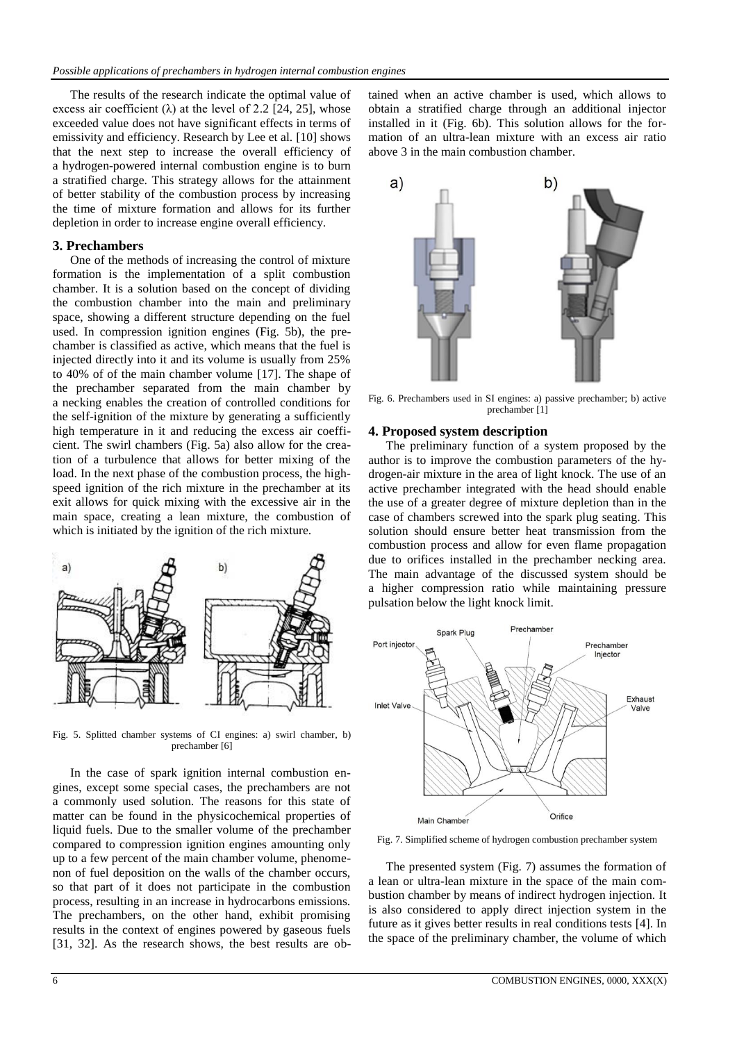The results of the research indicate the optimal value of excess air coefficient  $(\lambda)$  at the level of 2.2 [24, 25], whose exceeded value does not have significant effects in terms of emissivity and efficiency. Research by Lee et al. [10] shows that the next step to increase the overall efficiency of a hydrogen-powered internal combustion engine is to burn a stratified charge. This strategy allows for the attainment of better stability of the combustion process by increasing the time of mixture formation and allows for its further depletion in order to increase engine overall efficiency.

### **3. Prechambers**

One of the methods of increasing the control of mixture formation is the implementation of a split combustion chamber. It is a solution based on the concept of dividing the combustion chamber into the main and preliminary space, showing a different structure depending on the fuel used. In compression ignition engines (Fig. 5b), the prechamber is classified as active, which means that the fuel is injected directly into it and its volume is usually from 25% to 40% of of the main chamber volume [17]. The shape of the prechamber separated from the main chamber by a necking enables the creation of controlled conditions for the self-ignition of the mixture by generating a sufficiently high temperature in it and reducing the excess air coefficient. The swirl chambers (Fig. 5a) also allow for the creation of a turbulence that allows for better mixing of the load. In the next phase of the combustion process, the highspeed ignition of the rich mixture in the prechamber at its exit allows for quick mixing with the excessive air in the main space, creating a lean mixture, the combustion of which is initiated by the ignition of the rich mixture.



Fig. 5. Splitted chamber systems of CI engines: a) swirl chamber, b) prechamber [6]

In the case of spark ignition internal combustion engines, except some special cases, the prechambers are not a commonly used solution. The reasons for this state of matter can be found in the physicochemical properties of liquid fuels. Due to the smaller volume of the prechamber compared to compression ignition engines amounting only up to a few percent of the main chamber volume, phenomenon of fuel deposition on the walls of the chamber occurs, so that part of it does not participate in the combustion process, resulting in an increase in hydrocarbons emissions. The prechambers, on the other hand, exhibit promising results in the context of engines powered by gaseous fuels [31, 32]. As the research shows, the best results are obtained when an active chamber is used, which allows to obtain a stratified charge through an additional injector installed in it (Fig. 6b). This solution allows for the formation of an ultra-lean mixture with an excess air ratio above 3 in the main combustion chamber.



Fig. 6. Prechambers used in SI engines: a) passive prechamber; b) active prechamber [1]

## **4. Proposed system description**

The preliminary function of a system proposed by the author is to improve the combustion parameters of the hydrogen-air mixture in the area of light knock. The use of an active prechamber integrated with the head should enable the use of a greater degree of mixture depletion than in the case of chambers screwed into the spark plug seating. This solution should ensure better heat transmission from the combustion process and allow for even flame propagation due to orifices installed in the prechamber necking area. The main advantage of the discussed system should be a higher compression ratio while maintaining pressure pulsation below the light knock limit.



Fig. 7. Simplified scheme of hydrogen combustion prechamber system

The presented system (Fig. 7) assumes the formation of a lean or ultra-lean mixture in the space of the main combustion chamber by means of indirect hydrogen injection. It is also considered to apply direct injection system in the future as it gives better results in real conditions tests [4]. In the space of the preliminary chamber, the volume of which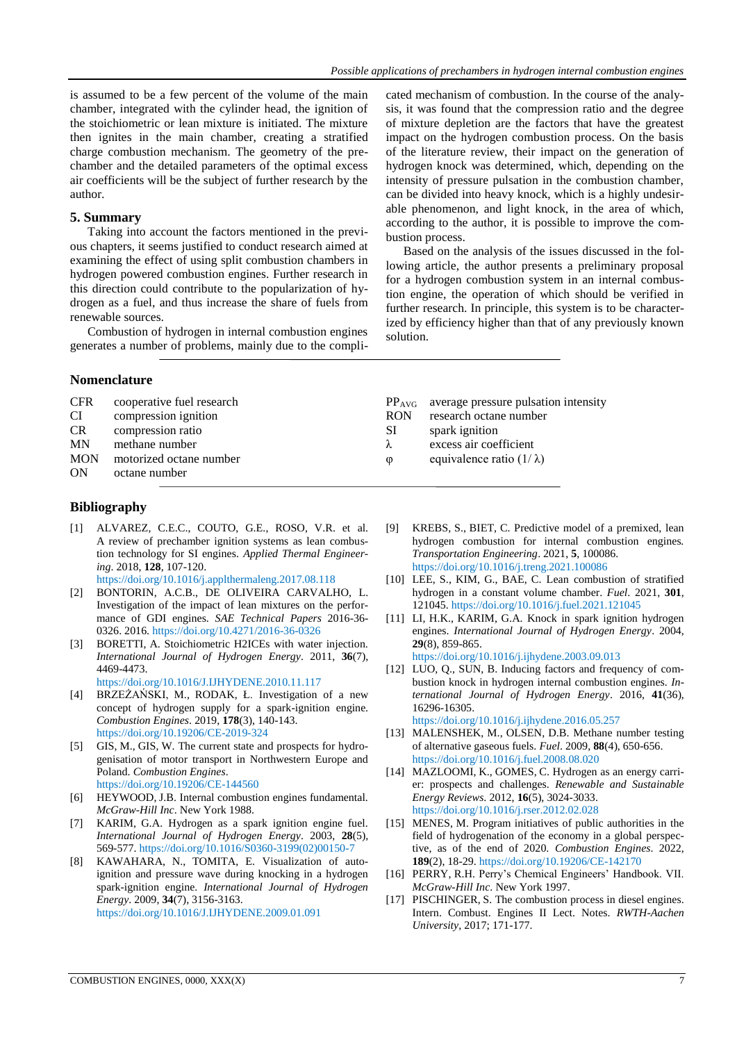is assumed to be a few percent of the volume of the main chamber, integrated with the cylinder head, the ignition of the stoichiometric or lean mixture is initiated. The mixture then ignites in the main chamber, creating a stratified charge combustion mechanism. The geometry of the prechamber and the detailed parameters of the optimal excess air coefficients will be the subject of further research by the author.

## **5. Summary**

Taking into account the factors mentioned in the previous chapters, it seems justified to conduct research aimed at examining the effect of using split combustion chambers in hydrogen powered combustion engines. Further research in this direction could contribute to the popularization of hydrogen as a fuel, and thus increase the share of fuels from renewable sources.

Combustion of hydrogen in internal combustion engines generates a number of problems, mainly due to the complicated mechanism of combustion. In the course of the analysis, it was found that the compression ratio and the degree of mixture depletion are the factors that have the greatest impact on the hydrogen combustion process. On the basis of the literature review, their impact on the generation of hydrogen knock was determined, which, depending on the intensity of pressure pulsation in the combustion chamber, can be divided into heavy knock, which is a highly undesirable phenomenon, and light knock, in the area of which, according to the author, it is possible to improve the combustion process.

Based on the analysis of the issues discussed in the following article, the author presents a preliminary proposal for a hydrogen combustion system in an internal combustion engine, the operation of which should be verified in further research. In principle, this system is to be characterized by efficiency higher than that of any previously known solution.

# **Nomenclature**

| <b>CFR</b><br>cooperative fuel research<br>compression ignition<br>CI<br><b>CR</b><br>compression ratio<br><b>MN</b><br>methane number<br><b>MON</b><br>motorized octane number<br>ON<br>octane number | $PP_{AVG}$<br><b>RON</b><br>SI<br>$\lambda$<br>$\boldsymbol{\omega}$ | average pressure pulsation intensity<br>research octane number<br>spark ignition<br>excess air coefficient<br>equivalence ratio $(1/\lambda)$ |
|--------------------------------------------------------------------------------------------------------------------------------------------------------------------------------------------------------|----------------------------------------------------------------------|-----------------------------------------------------------------------------------------------------------------------------------------------|
|--------------------------------------------------------------------------------------------------------------------------------------------------------------------------------------------------------|----------------------------------------------------------------------|-----------------------------------------------------------------------------------------------------------------------------------------------|

# **Bibliography**

- [1] ALVAREZ, C.E.C., COUTO, G.E., ROSO, V.R. et al. A review of prechamber ignition systems as lean combustion technology for SI engines. *Applied Thermal Engineering*. 2018, **128**, 107-120. https://doi.org/10.1016/j.applthermaleng.2017.08.118
- [2] BONTORIN, A.C.B., DE OLIVEIRA CARVALHO, L. Investigation of the impact of lean mixtures on the performance of GDI engines. *SAE Technical Papers* 2016-36- 0326. 2016. https://doi.org/10.4271/2016-36-0326
- [3] BORETTI, A. Stoichiometric H2ICEs with water injection. *International Journal of Hydrogen Energy*. 2011, **36**(7), 4469-4473. https://doi.org/10.1016/J.IJHYDENE.2010.11.117
- [4] BRZEŻAŃSKI, M., RODAK, Ł. Investigation of a new concept of hydrogen supply for a spark-ignition engine. *Combustion Engines*. 2019, **178**(3), 140-143. https://doi.org/10.19206/CE-2019-324
- [5] GIS, M., GIS, W. The current state and prospects for hydrogenisation of motor transport in Northwestern Europe and Poland. *Combustion Engines*. https://doi.org/10.19206/CE-144560
- [6] HEYWOOD, J.B. Internal combustion engines fundamental. *McGraw-Hill Inc*. New York 1988.
- [7] KARIM, G.A. Hydrogen as a spark ignition engine fuel. *International Journal of Hydrogen Energy*. 2003, **28**(5), 569-577. https://doi.org/10.1016/S0360-3199(02)00150-7
- [8] KAWAHARA, N., TOMITA, E. Visualization of autoignition and pressure wave during knocking in a hydrogen spark-ignition engine. *International Journal of Hydrogen Energy*. 2009, **34**(7), 3156-3163. https://doi.org/10.1016/J.IJHYDENE.2009.01.091
- [9] KREBS, S., BIET, C. Predictive model of a premixed, lean hydrogen combustion for internal combustion engines. *Transportation Engineering*. 2021, **5**, 100086. https://doi.org/10.1016/j.treng.2021.100086
- [10] LEE, S., KIM, G., BAE, C. Lean combustion of stratified hydrogen in a constant volume chamber. *Fuel*. 2021, **301**, 121045. https://doi.org/10.1016/j.fuel.2021.121045
- [11] LI, H.K., KARIM, G.A. Knock in spark ignition hydrogen engines. *International Journal of Hydrogen Energy*. 2004, **29**(8), 859-865. https://doi.org/10.1016/j.ijhydene.2003.09.013
- [12] LUO, Q., SUN, B. Inducing factors and frequency of combustion knock in hydrogen internal combustion engines. *International Journal of Hydrogen Energy*. 2016, **41**(36), 16296-16305.

https://doi.org/10.1016/j.ijhydene.2016.05.257

- [13] MALENSHEK, M., OLSEN, D.B. Methane number testing of alternative gaseous fuels. *Fuel*. 2009, **88**(4), 650-656. https://doi.org/10.1016/j.fuel.2008.08.020
- [14] MAZLOOMI, K., GOMES, C. Hydrogen as an energy carrier: prospects and challenges. *Renewable and Sustainable Energy Reviews*. 2012, **16**(5), 3024-3033. https://doi.org/10.1016/j.rser.2012.02.028
- [15] MENES, M. Program initiatives of public authorities in the field of hydrogenation of the economy in a global perspective, as of the end of 2020. *Combustion Engines*. 2022, **189**(2), 18-29. https://doi.org/10.19206/CE-142170
- [16] PERRY, R.H. Perry's Chemical Engineers' Handbook. VII. *McGraw-Hill Inc*. New York 1997.
- [17] PISCHINGER, S. The combustion process in diesel engines. Intern. Combust. Engines II Lect. Notes. *RWTH-Aachen University*, 2017; 171-177.